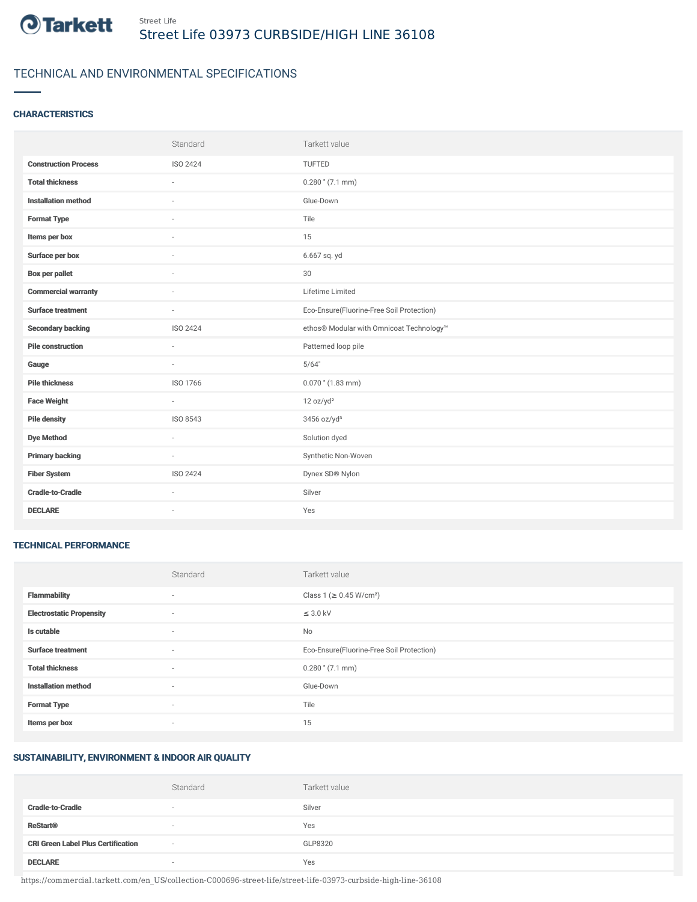

# TECHNICAL AND ENVIRONMENTAL SPECIFICATIONS

## **CHARACTERISTICS**

|                             | Standard                 | Tarkett value                             |
|-----------------------------|--------------------------|-------------------------------------------|
| <b>Construction Process</b> | ISO 2424                 | TUFTED                                    |
| <b>Total thickness</b>      | $\sim$                   | $0.280$ " (7.1 mm)                        |
| <b>Installation method</b>  | $\overline{\phantom{a}}$ | Glue-Down                                 |
| <b>Format Type</b>          | $\sim$                   | Tile                                      |
| Items per box               |                          | 15                                        |
| Surface per box             |                          | 6.667 sq. yd                              |
| Box per pallet              | $\sim$                   | 30                                        |
| <b>Commercial warranty</b>  | $\sim$                   | Lifetime Limited                          |
| <b>Surface treatment</b>    | $\sim$                   | Eco-Ensure(Fluorine-Free Soil Protection) |
| <b>Secondary backing</b>    | ISO 2424                 | ethos® Modular with Omnicoat Technology™  |
| <b>Pile construction</b>    | $\sim$                   | Patterned loop pile                       |
| Gauge                       | $\sim$                   | 5/64"                                     |
| <b>Pile thickness</b>       | ISO 1766                 | $0.070$ " (1.83 mm)                       |
| <b>Face Weight</b>          | $\sim$                   | 12 oz/yd <sup>2</sup>                     |
| <b>Pile density</b>         | ISO 8543                 | 3456 oz/yd <sup>3</sup>                   |
| <b>Dye Method</b>           | $\sim$                   | Solution dyed                             |
| <b>Primary backing</b>      | $\sim$                   | Synthetic Non-Woven                       |
| <b>Fiber System</b>         | ISO 2424                 | Dynex SD® Nylon                           |
| <b>Cradle-to-Cradle</b>     | $\sim$                   | Silver                                    |
| <b>DECLARE</b>              | ٠                        | Yes                                       |

#### TECHNICAL PERFORMANCE

|                                 | Standard | Tarkett value                             |
|---------------------------------|----------|-------------------------------------------|
| <b>Flammability</b>             | ۰        | Class 1 (≥ 0.45 W/cm <sup>2</sup> )       |
| <b>Electrostatic Propensity</b> | $\sim$   | $\leq$ 3.0 kV                             |
| Is cutable                      | $\sim$   | No                                        |
| <b>Surface treatment</b>        | $\sim$   | Eco-Ensure(Fluorine-Free Soil Protection) |
| <b>Total thickness</b>          | $\sim$   | $0.280$ " (7.1 mm)                        |
| <b>Installation method</b>      | $\sim$   | Glue-Down                                 |
| <b>Format Type</b>              | $\sim$   | Tile                                      |
| Items per box                   | $\sim$   | 15                                        |

#### SUSTAINABILITY, ENVIRONMENT & INDOOR AIR QUALITY

|                                           | Standard | Tarkett value |
|-------------------------------------------|----------|---------------|
| <b>Cradle-to-Cradle</b>                   | $\sim$   | Silver        |
| <b>ReStart<sup>®</sup></b>                | $\sim$   | Yes           |
| <b>CRI Green Label Plus Certification</b> | $\sim$   | GLP8320       |
| <b>DECLARE</b>                            |          | Yes           |

https://commercial.tarkett.com/en\_US/collection-C000696-street-life/street-life-03973-curbside-high-line-36108